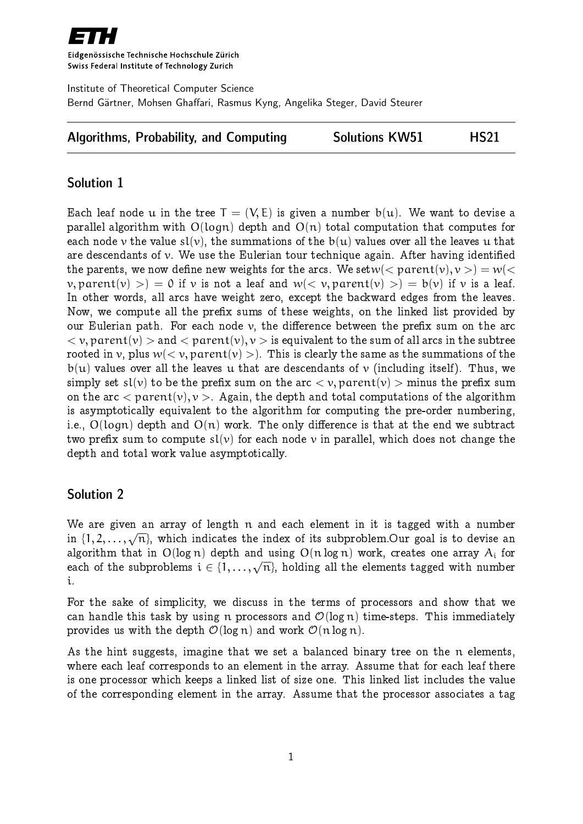

Eidgenössische Technische Hochschule Zürich Swiss Federal Institute of Technology Zurich

Institute of Theoretical Computer Science Bernd Gärtner, Mohsen Ghaffari, Rasmus Kyng, Angelika Steger, David Steurer

|  | <b>Algorithms, Probability, and Computing</b> |  | <b>Solutions KW51</b> | <b>HS21</b> |
|--|-----------------------------------------------|--|-----------------------|-------------|
|--|-----------------------------------------------|--|-----------------------|-------------|

# Solution 1

Each leaf node u in the tree  $T = (V, E)$  is given a number  $b(u)$ . We want to devise a parallel algorithm with  $O(logn)$  depth and  $O(n)$  total computation that computes for each node v the value  $sl(v)$ , the summations of the  $b(u)$  values over all the leaves u that are descendants of  $\nu$ . We use the Eulerian tour technique again. After having identified the parents, we now define new weights for the arcs. We set  $w(<$  parent $(v), v>)=w(<$  $v,$  parent(v) > = 0 if v is not a leaf and  $w(< v,$  parent(v) > = b(v) if v is a leaf. In other words, all arcs have weight zero, except the backward edges from the leaves. Now, we compute all the prefix sums of these weights, on the linked list provided by our Eulerian path. For each node  $\nu$ , the difference between the prefix sum on the arc  $\langle v, parent(v) \rangle$  and  $\langle parent(v), v \rangle$  is equivalent to the sum of all arcs in the subtree rooted in v, plus  $w(< v$ , parent $(v) > 0$ . This is clearly the same as the summations of the  $b(u)$  values over all the leaves u that are descendants of v (including itself). Thus, we simply set  $sl(v)$  to be the prefix sum on the arc  $\langle v, parent(v) \rangle$  minus the prefix sum on the arc  $\langle$  parent $(v), v \rangle$ . Again, the depth and total computations of the algorithm is asymptotically equivalent to the algorithm for computing the pre-order numbering, i.e.,  $O(logn)$  depth and  $O(n)$  work. The only difference is that at the end we subtract two prefix sum to compute  $sl(v)$  for each node v in parallel, which does not change the depth and total work value asymptotically.

## Solution 2

We are given an array of length n and each element in it is tagged with a number in  $\{1, 2, \ldots, \sqrt{n}\}$ , which indicates the index of its subproblem.Our goal is to devise an algorithm that in  $O(log n)$  depth and using  $O(n log n)$  work, creates one array  $A_i$  for each of the subproblems  $i \in \{1, ..., \sqrt{n}\}$ , holding all the elements tagged with number i.

For the sake of simplicity, we discuss in the terms of processors and show that we can handle this task by using n processors and  $\mathcal{O}(\log n)$  time-steps. This immediately provides us with the depth  $\mathcal{O}(\log n)$  and work  $\mathcal{O}(n \log n)$ .

As the hint suggests, imagine that we set a balanced binary tree on the n elements, where each leaf corresponds to an element in the array. Assume that for each leaf there is one processor which keeps a linked list of size one. This linked list includes the value of the corresponding element in the array. Assume that the processor associates a tag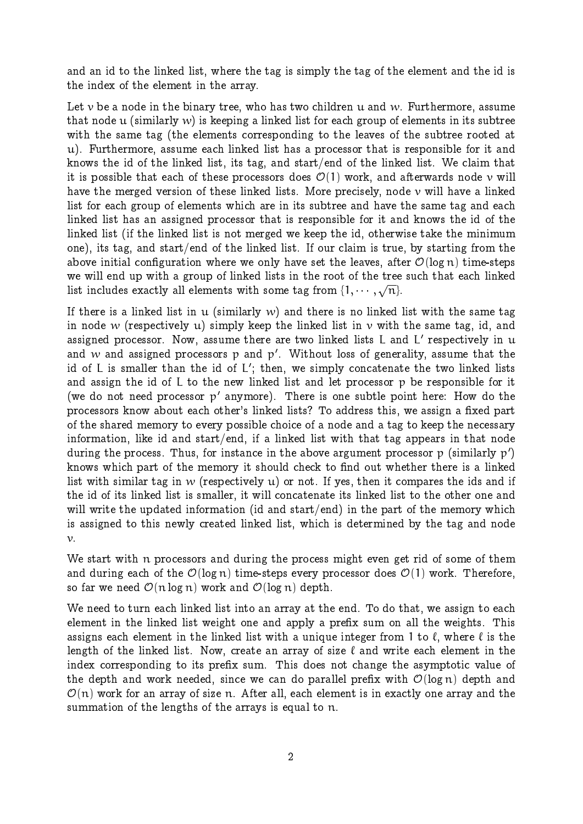and an id to the linked list, where the tag is simply the tag of the element and the id is the index of the element in the array.

Let  $\nu$  be a node in the binary tree, who has two children u and w. Furthermore, assume that node u (similarly  $w$ ) is keeping a linked list for each group of elements in its subtree with the same tag (the elements corresponding to the leaves of the subtree rooted at u). Furthermore, assume each linked list has a processor that is responsible for it and knows the id of the linked list, its tag, and start/end of the linked list. We claim that it is possible that each of these processors does  $\mathcal{O}(1)$  work, and afterwards node v will have the merged version of these linked lists. More precisely, node  $\nu$  will have a linked list for each group of elements which are in its subtree and have the same tag and each linked list has an assigned processor that is responsible for it and knows the id of the linked list (if the linked list is not merged we keep the id, otherwise take the minimum one), its tag, and start/end of the linked list. If our claim is true, by starting from the above initial configuration where we only have set the leaves, after  $\mathcal{O}(\log n)$  time-steps we will end up with a group of linked lists in the root of the tree such that each linked list includes exactly all elements with some tag from  $\{1, \cdots, \sqrt{n}\}.$ 

If there is a linked list in u (similarly w) and there is no linked list with the same tag in node w (respectively u) simply keep the linked list in  $\nu$  with the same tag, id, and assigned processor. Now, assume there are two linked lists L and L' respectively in  $\mathfrak u$ and  $w$  and assigned processors  $p$  and  $p^{\,\prime}$ . Without loss of generality, assume that the id of L is smaller than the id of L'; then, we simply concatenate the two linked lists and assign the id of L to the new linked list and let processor p be responsible for it (we do not need processor  $p'$  anymore). There is one subtle point here: How do the processors know about each other's linked lists? To address this, we assign a fixed part of the shared memory to every possible choice of a node and a tag to keep the necessary information, like id and start/end, if a linked list with that tag appears in that node during the process. Thus, for instance in the above argument processor  ${\rm p\; (similarly\; p')}$ knows which part of the memory it should check to find out whether there is a linked list with similar tag in w (respectively  $u$ ) or not. If yes, then it compares the ids and if the id of its linked list is smaller, it will concatenate its linked list to the other one and will write the updated information (id and start/end) in the part of the memory which is assigned to this newly created linked list, which is determined by the tag and node  $\nu$ .

We start with n processors and during the process might even get rid of some of them and during each of the  $\mathcal{O}(\log n)$  time-steps every processor does  $\mathcal{O}(1)$  work. Therefore, so far we need  $\mathcal{O}(n \log n)$  work and  $\mathcal{O}(\log n)$  depth.

We need to turn each linked list into an array at the end. To do that, we assign to each element in the linked list weight one and apply a prefix sum on all the weights. This assigns each element in the linked list with a unique integer from 1 to  $\ell$ , where  $\ell$  is the length of the linked list. Now, create an array of size  $\ell$  and write each element in the index corresponding to its prefix sum. This does not change the asymptotic value of the depth and work needed, since we can do parallel prefix with  $\mathcal{O}(\log n)$  depth and  $\mathcal{O}(n)$  work for an array of size n. After all, each element is in exactly one array and the summation of the lengths of the arrays is equal to n.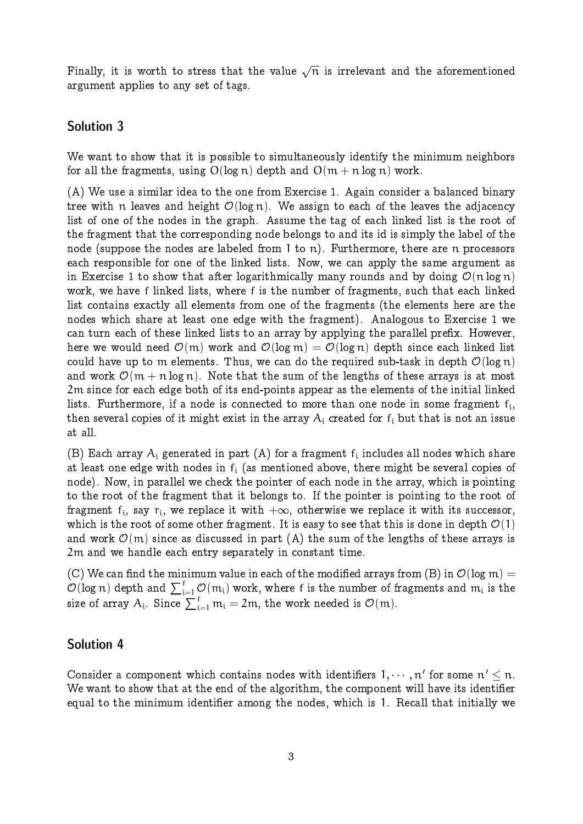Finally, it is worth to stress that the value  $\sqrt{n}$  is irrelevant and the aforementioned argument applies to any set of tags.

## Solution 3

We want to show that it is possible to simultaneously identify the minimum neighbors for all the fragments, using  $O(log n)$  depth and  $O(m + n log n)$  work.

(A) We use a similar idea to the one from Exercise 1. Again consider a balanced binary tree with n leaves and height  $\mathcal{O}(\log n)$ . We assign to each of the leaves the adjacency list of one of the nodes in the graph. Assume the tag of each linked list is the root of the fragment that the corresponding node belongs to and its id is simply the label of the node (suppose the nodes are labeled from  $1$  to  $n$ ). Furthermore, there are  $n$  processors each responsible for one of the linked lists. Now, we can apply the same argument as in Exercise 1 to show that after logarithmically many rounds and by doing  $\mathcal{O}(n \log n)$ work, we have f linked lists, where f is the number of fragments, such that each linked list contains exactly all elements from one of the fragments (the elements here are the nodes which share at least one edge with the fragment). Analogous to Exercise 1 we can turn each of these linked lists to an array by applying the parallel prefix. However, here we would need  $\mathcal{O}(m)$  work and  $\mathcal{O}(\log m) = \mathcal{O}(\log n)$  depth since each linked list could have up to m elements. Thus, we can do the required sub-task in depth  $\mathcal{O}(\log n)$ and work  $\mathcal{O}(m + n \log n)$ . Note that the sum of the lengths of these arrays is at most 2m since for each edge both of its end-points appear as the elements of the initial linked lists. Furthermore, if a node is connected to more than one node in some fragment  $\mathsf{f}_\mathfrak{i},$ then several copies of it might exist in the array  $A_i$  created for  $f_i$  but that is not an issue at all.

(B) Each array  $\mathcal{A}_\mathfrak{i}$  generated in part (A) for a fragment  $\mathfrak{f}_\mathfrak{i}$  includes all nodes which share at least one edge with nodes in  $f_i$  (as mentioned above, there might be several copies of node). Now, in parallel we check the pointer of each node in the array, which is pointing to the root of the fragment that it belongs to. If the pointer is pointing to the root of fragment  $f_i$ , say  $r_i$ , we replace it with  $+\infty$ , otherwise we replace it with its successor,<br>which is the uset of source than fragment. It is seen to see that this is done in darth  $\mathcal{D}(1)$ which is the root of some other fragment. It is easy to see that this is done in depth  $\mathcal{O}(1)$ and work  $\mathcal{O}(m)$  since as discussed in part (A) the sum of the lengths of these arrays is 2m and we handle each entry separately in constant time.

(C) We can find the minimum value in each of the modified arrays from (B) in  $\mathcal{O}(\log m) =$  $\mathcal{O}(\log n)$  depth and  $\sum_{i=1}^f\mathcal{O}(m_i)$  work, where  $f$  is the number of fragments and  $m_i$  is the size of array  $A_i$ . Since  $\sum_{i=1}^f m_i = 2m$ , the work needed is  $\mathcal{O}(m)$ .

### Solution 4

Consider a component which contains nodes with identifiers  $1, \dots, n'$  for some  $n' \leq n$ . We want to show that at the end of the algorithm, the component will have its identifier equal to the minimum identifier among the nodes, which is 1. Recall that initially we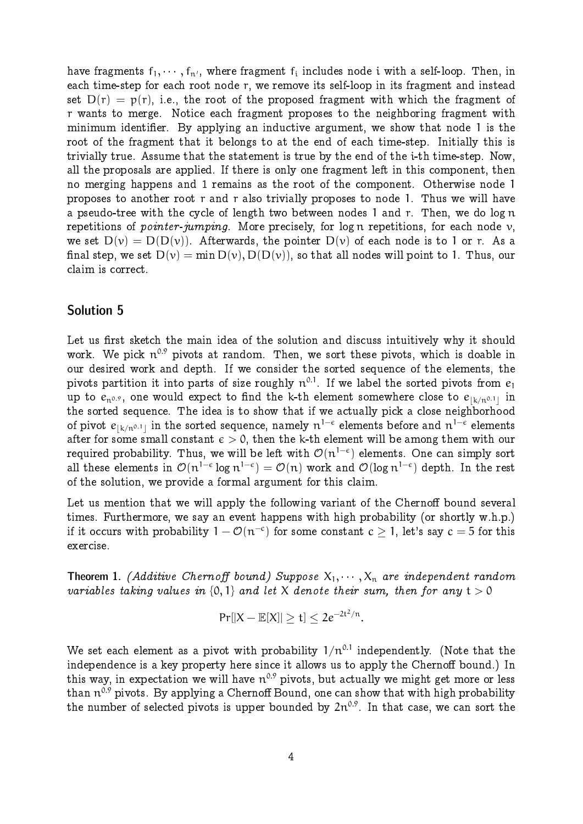have fragments  $f_1, \dots, f_{n'}$ , where fragment  $f_i$  includes node i with a self-loop. Then, in each time-step for each root node r, we remove its self-loop in its fragment and instead set  $D(r) = p(r)$ , i.e., the root of the proposed fragment with which the fragment of r wants to merge. Notice each fragment proposes to the neighboring fragment with minimum identier. By applying an inductive argument, we show that node 1 is the root of the fragment that it belongs to at the end of each time-step. Initially this is trivially true. Assume that the statement is true by the end of the i-th time-step. Now, all the proposals are applied. If there is only one fragment left in this component, then no merging happens and 1 remains as the root of the component. Otherwise node 1 proposes to another root r and r also trivially proposes to node 1. Thus we will have a pseudo-tree with the cycle of length two between nodes 1 and r. Then, we do log n repetitions of *pointer-jumping*. More precisely, for log n repetitions, for each node  $\nu$ , we set  $D(v) = D(D(v))$ . Afterwards, the pointer  $D(v)$  of each node is to 1 or r. As a final step, we set  $D(v) = min D(v), D(D(v))$ , so that all nodes will point to 1. Thus, our claim is correct.

#### Solution 5

Let us first sketch the main idea of the solution and discuss intuitively why it should work. We pick  $\mathfrak{n}^{0.9}$  pivots at random. Then, we sort these pivots, which is doable in our desired work and depth. If we consider the sorted sequence of the elements, the pivots partition it into parts of size roughly  $\boldsymbol{\mathfrak{n}}^{0.1}.$  If we label the sorted pivots from  $\boldsymbol{e}_1$ up to  $e_{\mathfrak n^{0.9}},$  one would expect to find the k-th element somewhere close to  $e_{\lfloor k/n^{0.1} \rfloor}$  in the sorted sequence. The idea is to show that if we actually pick a close neighborhood of pivot  $e_{\lfloor k/n^{0.1} \rfloor}$  in the sorted sequence, namely  $n^{1-\epsilon}$  elements before and  $n^{1-\epsilon}$  elements after for some small constant  $\epsilon > 0$ , then the k-th element will be among them with our required probability. Thus, we will be left with  $\mathcal{O}(n^{1-\epsilon})$  elements. One can simply sort all these elements in  $\mathcal{O}(n^{1-\epsilon} \log n^{1-\epsilon}) = \mathcal{O}(n)$  work and  $\mathcal{O}(\log n^{1-\epsilon})$  depth. In the rest of the solution, we provide a formal argument for this claim.

Let us mention that we will apply the following variant of the Chernoff bound several times. Furthermore, we say an event happens with high probability (or shortly w.h.p.) if it occurs with probability  $1 - \mathcal{O}(n^{-c})$  for some constant  $c \geq 1$ , let's say  $c = 5$  for this exercise.

**Theorem 1.** (Additive Chernoff bound) Suppose  $X_1, \dots, X_n$  are independent random variables taking values in  $\{0,1\}$  and let X denote their sum, then for any  $t > 0$ 

$$
Pr[|X - \mathbb{E}[X]| \ge t] \le 2e^{-2t^2/n}.
$$

We set each element as a pivot with probability  $1/n^{0.1}$  independently. (Note that the independence is a key property here since it allows us to apply the Chernoff bound.) In this way, in expectation we will have  $\mathfrak{n}^{0.9}$  pivots, but actually we might get more or less than  $\mathfrak{n}^{0.9}$  pivots. By applying a Chernoff Bound, one can show that with high probability the number of selected pivots is upper bounded by  $2n^{0.9}$ . In that case, we can sort the